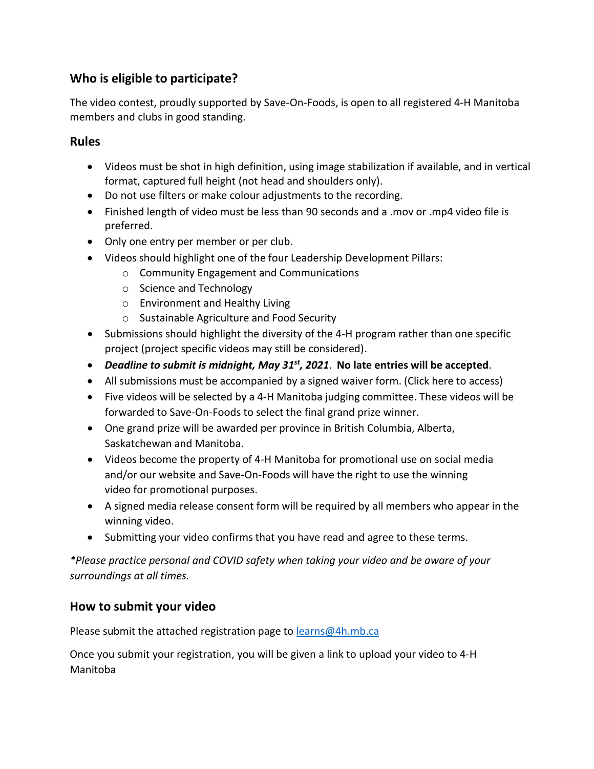### **Who is eligible to participate?**

The video contest, proudly supported by Save-On-Foods, is open to all registered 4-H Manitoba members and clubs in good standing.

#### **Rules**

- Videos must be shot in high definition, using image stabilization if available, and in vertical format, captured full height (not head and shoulders only).
- Do not use filters or make colour adjustments to the recording.
- Finished length of video must be less than 90 seconds and a .mov or .mp4 video file is preferred.
- Only one entry per member or per club.
- Videos should highlight one of the four Leadership Development Pillars:
	- o Community Engagement and Communications
	- o Science and Technology
	- o Environment and Healthy Living
	- o Sustainable Agriculture and Food Security
- Submissions should highlight the diversity of the 4-H program rather than one specific project (project specific videos may still be considered).
- *Deadline to submit is midnight, May 31st , 2021*. **No late entries will be accepted**.
- All submissions must be accompanied by a signed waiver form. (Click here to access)
- Five videos will be selected by a 4-H Manitoba judging committee. These videos will be forwarded to Save-On-Foods to select the final grand prize winner.
- One grand prize will be awarded per province in British Columbia, Alberta, Saskatchewan and Manitoba.
- Videos become the property of 4-H Manitoba for promotional use on social media and/or our website and Save-On-Foods will have the right to use the winning video for promotional purposes.
- A signed media release consent form will be required by all members who appear in the winning video.
- Submitting your video confirms that you have read and agree to these terms.

*\*Please practice personal and COVID safety when taking your video and be aware of your surroundings at all times.*

#### **How to submit your video**

Please submit the attached registration page to learns@4h.mb.ca

Once you submit your registration, you will be given a link to upload your video to 4-H Manitoba